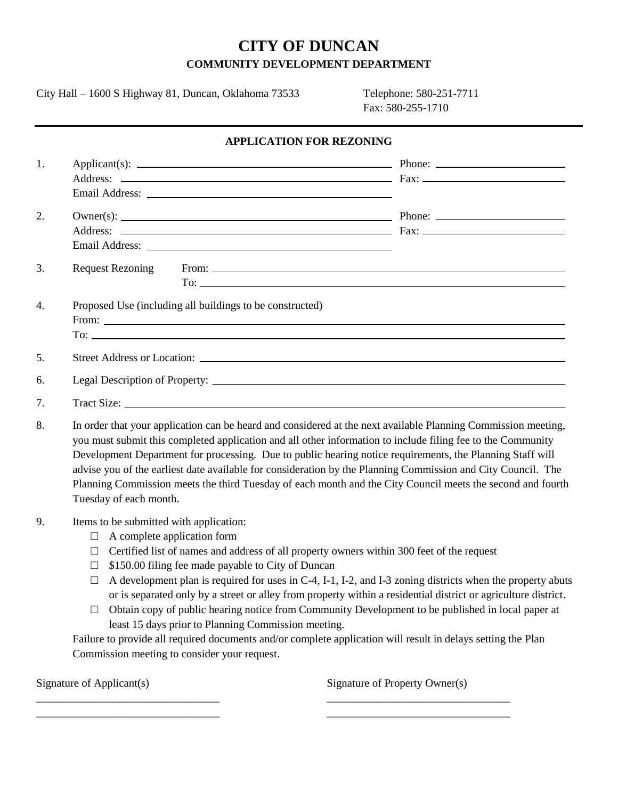# **CITY OF DUNCAN COMMUNITY DEVELOPMENT DEPARTMENT**

**APPLICATION FOR REZONING**

City Hall – 1600 S Highway 81, Duncan, Oklahoma 73533 Telephone: 580-251-7711

Fax: 580-255-1710

| Email Address: <u>New York: New York: New York: New York: New York: New York: New York: New York: New York: New York: New York: New York: New York: New York: New York: New York: New York: New York: New York: New York: New Yo</u>                                                                                                      |                                |
|-------------------------------------------------------------------------------------------------------------------------------------------------------------------------------------------------------------------------------------------------------------------------------------------------------------------------------------------|--------------------------------|
|                                                                                                                                                                                                                                                                                                                                           |                                |
|                                                                                                                                                                                                                                                                                                                                           |                                |
|                                                                                                                                                                                                                                                                                                                                           |                                |
| <b>Request Rezoning</b>                                                                                                                                                                                                                                                                                                                   | From: $\overline{\phantom{a}}$ |
|                                                                                                                                                                                                                                                                                                                                           |                                |
|                                                                                                                                                                                                                                                                                                                                           |                                |
|                                                                                                                                                                                                                                                                                                                                           |                                |
|                                                                                                                                                                                                                                                                                                                                           |                                |
|                                                                                                                                                                                                                                                                                                                                           |                                |
| In order that your application can be heard and considered at the next available Planning Commission meeting,<br>you must submit this completed application and all other information to include filing fee to the Community<br>Development Department for processing. Due to public hearing notice requirements, the Planning Staff will |                                |

Development Department for processing. Due to public hearing notice requirements, the Planning Staff will advise you of the earliest date available for consideration by the Planning Commission and City Council. The Planning Commission meets the third Tuesday of each month and the City Council meets the second and fourth Tuesday of each month.

#### 9. Items to be submitted with application:

- $\Box$  A complete application form
- $\Box$  Certified list of names and address of all property owners within 300 feet of the request
- $\Box$  \$150.00 filing fee made payable to City of Duncan
- $\Box$  A development plan is required for uses in C-4, I-1, I-2, and I-3 zoning districts when the property abuts or is separated only by a street or alley from property within a residential district or agriculture district.
- $\Box$  Obtain copy of public hearing notice from Community Development to be published in local paper at least 15 days prior to Planning Commission meeting.

Failure to provide all required documents and/or complete application will result in delays setting the Plan Commission meeting to consider your request.

\_\_\_\_\_\_\_\_\_\_\_\_\_\_\_\_\_\_\_\_\_\_\_\_\_\_\_\_\_\_\_\_\_ \_\_\_\_\_\_\_\_\_\_\_\_\_\_\_\_\_\_\_\_\_\_\_\_\_\_\_\_\_\_\_\_\_ \_\_\_\_\_\_\_\_\_\_\_\_\_\_\_\_\_\_\_\_\_\_\_\_\_\_\_\_\_\_\_\_\_ \_\_\_\_\_\_\_\_\_\_\_\_\_\_\_\_\_\_\_\_\_\_\_\_\_\_\_\_\_\_\_\_\_

Signature of Applicant(s) Signature of Property Owner(s)